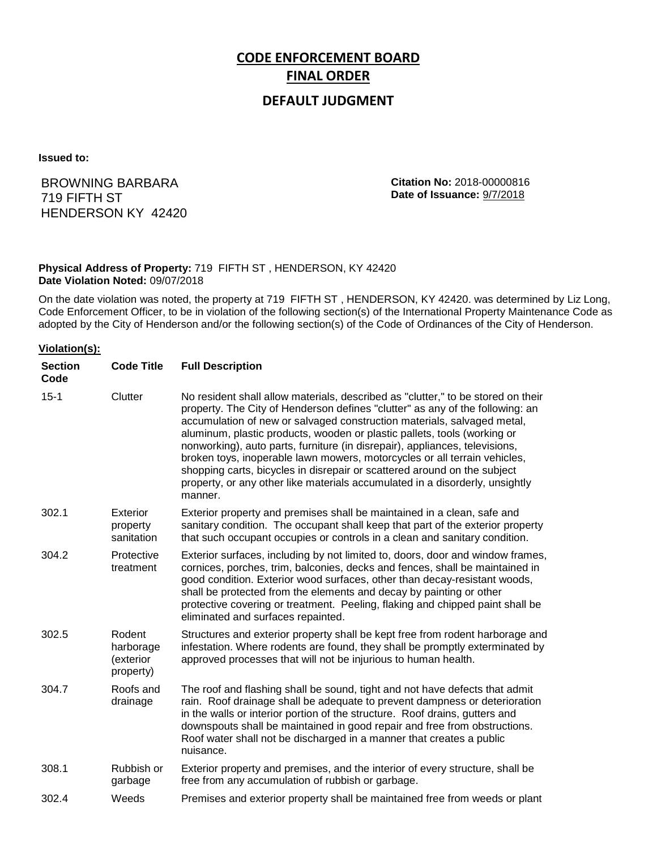# **CODE ENFORCEMENT BOARD FINAL ORDER**

# **DEFAULT JUDGMENT**

**Issued to:**

BROWNING BARBARA 719 FIFTH ST HENDERSON KY 42420 **Citation No:** 2018-00000816 **Date of Issuance:** 9/7/2018

#### **Physical Address of Property:** 719 FIFTH ST , HENDERSON, KY 42420 **Date Violation Noted:** 09/07/2018

On the date violation was noted, the property at 719 FIFTH ST , HENDERSON, KY 42420. was determined by Liz Long, Code Enforcement Officer, to be in violation of the following section(s) of the International Property Maintenance Code as adopted by the City of Henderson and/or the following section(s) of the Code of Ordinances of the City of Henderson.

#### **Violation(s):**

| <b>Section</b><br>Code | <b>Code Title</b>                             | <b>Full Description</b>                                                                                                                                                                                                                                                                                                                                                                                                                                                                                                                                                                                                                                     |
|------------------------|-----------------------------------------------|-------------------------------------------------------------------------------------------------------------------------------------------------------------------------------------------------------------------------------------------------------------------------------------------------------------------------------------------------------------------------------------------------------------------------------------------------------------------------------------------------------------------------------------------------------------------------------------------------------------------------------------------------------------|
| $15 - 1$               | Clutter                                       | No resident shall allow materials, described as "clutter," to be stored on their<br>property. The City of Henderson defines "clutter" as any of the following: an<br>accumulation of new or salvaged construction materials, salvaged metal,<br>aluminum, plastic products, wooden or plastic pallets, tools (working or<br>nonworking), auto parts, furniture (in disrepair), appliances, televisions,<br>broken toys, inoperable lawn mowers, motorcycles or all terrain vehicles,<br>shopping carts, bicycles in disrepair or scattered around on the subject<br>property, or any other like materials accumulated in a disorderly, unsightly<br>manner. |
| 302.1                  | Exterior<br>property<br>sanitation            | Exterior property and premises shall be maintained in a clean, safe and<br>sanitary condition. The occupant shall keep that part of the exterior property<br>that such occupant occupies or controls in a clean and sanitary condition.                                                                                                                                                                                                                                                                                                                                                                                                                     |
| 304.2                  | Protective<br>treatment                       | Exterior surfaces, including by not limited to, doors, door and window frames,<br>cornices, porches, trim, balconies, decks and fences, shall be maintained in<br>good condition. Exterior wood surfaces, other than decay-resistant woods,<br>shall be protected from the elements and decay by painting or other<br>protective covering or treatment. Peeling, flaking and chipped paint shall be<br>eliminated and surfaces repainted.                                                                                                                                                                                                                   |
| 302.5                  | Rodent<br>harborage<br>(exterior<br>property) | Structures and exterior property shall be kept free from rodent harborage and<br>infestation. Where rodents are found, they shall be promptly exterminated by<br>approved processes that will not be injurious to human health.                                                                                                                                                                                                                                                                                                                                                                                                                             |
| 304.7                  | Roofs and<br>drainage                         | The roof and flashing shall be sound, tight and not have defects that admit<br>rain. Roof drainage shall be adequate to prevent dampness or deterioration<br>in the walls or interior portion of the structure. Roof drains, gutters and<br>downspouts shall be maintained in good repair and free from obstructions.<br>Roof water shall not be discharged in a manner that creates a public<br>nuisance.                                                                                                                                                                                                                                                  |
| 308.1                  | Rubbish or<br>garbage                         | Exterior property and premises, and the interior of every structure, shall be<br>free from any accumulation of rubbish or garbage.                                                                                                                                                                                                                                                                                                                                                                                                                                                                                                                          |
| 302.4                  | Weeds                                         | Premises and exterior property shall be maintained free from weeds or plant                                                                                                                                                                                                                                                                                                                                                                                                                                                                                                                                                                                 |